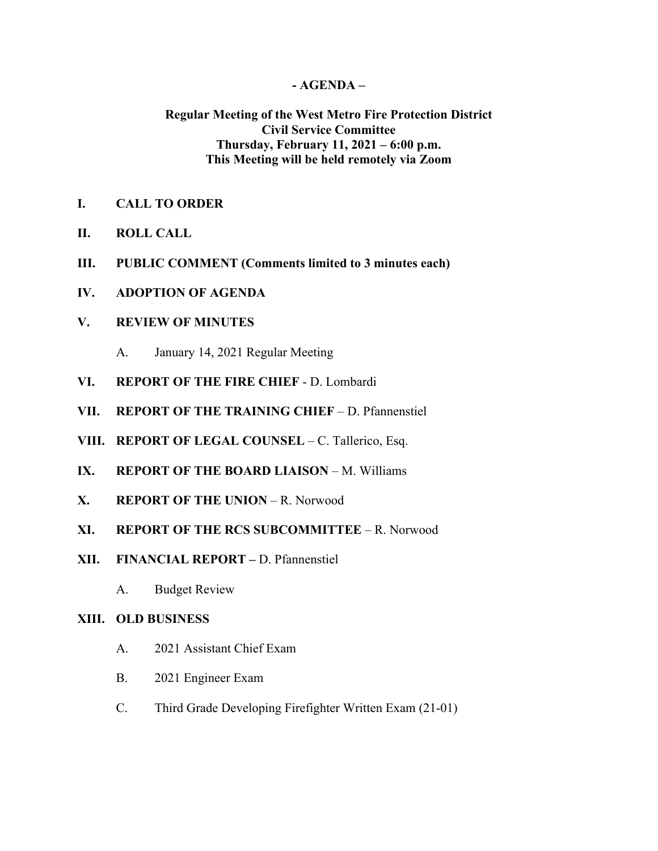### **- AGENDA –**

# **Regular Meeting of the West Metro Fire Protection District Civil Service Committee Thursday, February 11, 2021 – 6:00 p.m. This Meeting will be held remotely via Zoom**

- **I. CALL TO ORDER**
- **II. ROLL CALL**
- **III. PUBLIC COMMENT (Comments limited to 3 minutes each)**
- **IV. ADOPTION OF AGENDA**

#### **V. REVIEW OF MINUTES**

- A. January 14, 2021 Regular Meeting
- **VI. REPORT OF THE FIRE CHIEF**  D. Lombardi
- **VII. REPORT OF THE TRAINING CHIEF** D. Pfannenstiel
- **VIII. REPORT OF LEGAL COUNSEL** C. Tallerico, Esq.
- **IX. REPORT OF THE BOARD LIAISON** M. Williams
- **X. REPORT OF THE UNION** R. Norwood
- **XI. REPORT OF THE RCS SUBCOMMITTEE** R. Norwood
- **XII. FINANCIAL REPORT –** D. Pfannenstiel
	- A. Budget Review

#### **XIII. OLD BUSINESS**

- A. 2021 Assistant Chief Exam
- B. 2021 Engineer Exam
- C. Third Grade Developing Firefighter Written Exam (21-01)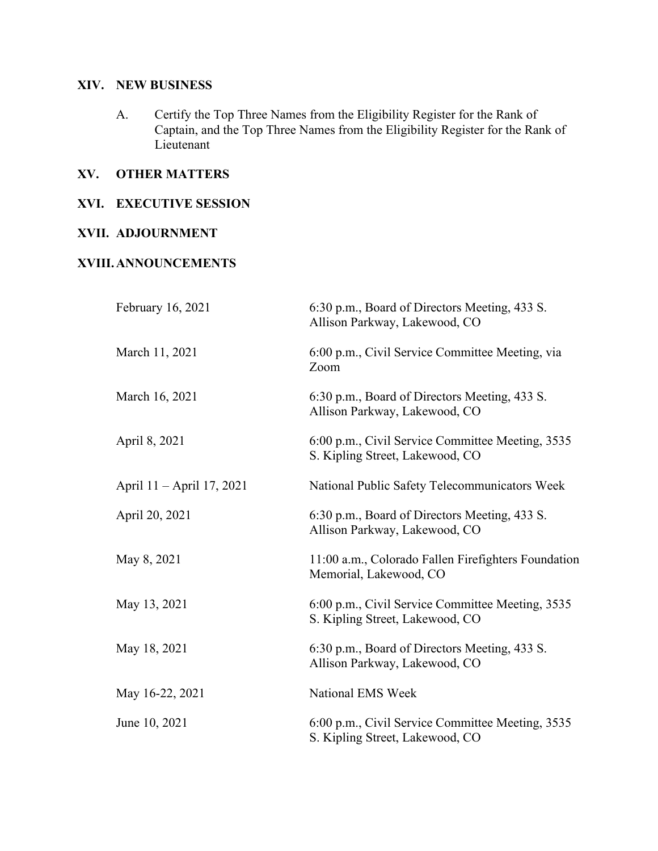### **XIV. NEW BUSINESS**

A. Certify the Top Three Names from the Eligibility Register for the Rank of Captain, and the Top Three Names from the Eligibility Register for the Rank of Lieutenant

# **XV. OTHER MATTERS**

# **XVI. EXECUTIVE SESSION**

# **XVII. ADJOURNMENT**

# **XVIII.ANNOUNCEMENTS**

| February 16, 2021         | 6:30 p.m., Board of Directors Meeting, 433 S.<br>Allison Parkway, Lakewood, CO      |
|---------------------------|-------------------------------------------------------------------------------------|
| March 11, 2021            | 6:00 p.m., Civil Service Committee Meeting, via<br>Zoom                             |
| March 16, 2021            | 6:30 p.m., Board of Directors Meeting, 433 S.<br>Allison Parkway, Lakewood, CO      |
| April 8, 2021             | 6:00 p.m., Civil Service Committee Meeting, 3535<br>S. Kipling Street, Lakewood, CO |
| April 11 – April 17, 2021 | National Public Safety Telecommunicators Week                                       |
| April 20, 2021            | 6:30 p.m., Board of Directors Meeting, 433 S.<br>Allison Parkway, Lakewood, CO      |
| May 8, 2021               | 11:00 a.m., Colorado Fallen Firefighters Foundation<br>Memorial, Lakewood, CO       |
| May 13, 2021              | 6:00 p.m., Civil Service Committee Meeting, 3535<br>S. Kipling Street, Lakewood, CO |
| May 18, 2021              | 6:30 p.m., Board of Directors Meeting, 433 S.<br>Allison Parkway, Lakewood, CO      |
| May 16-22, 2021           | National EMS Week                                                                   |
| June 10, 2021             | 6:00 p.m., Civil Service Committee Meeting, 3535<br>S. Kipling Street, Lakewood, CO |